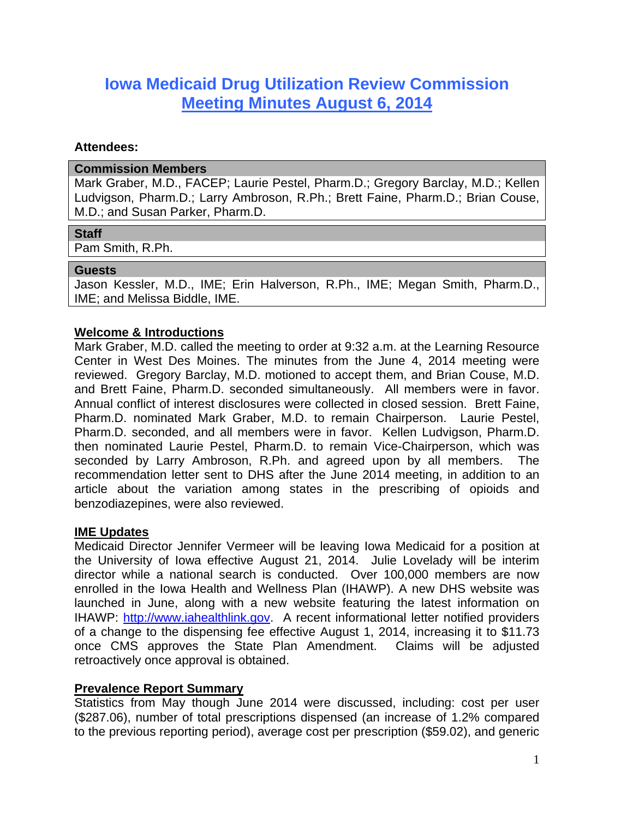# **Iowa Medicaid Drug Utilization Review Commission Meeting Minutes August 6, 2014**

#### **Attendees:**

#### **Commission Members**

Mark Graber, M.D., FACEP; Laurie Pestel, Pharm.D.; Gregory Barclay, M.D.; Kellen Ludvigson, Pharm.D.; Larry Ambroson, R.Ph.; Brett Faine, Pharm.D.; Brian Couse, M.D.; and Susan Parker, Pharm.D.

## **Staff**

Pam Smith, R.Ph.

#### **Guests**

Jason Kessler, M.D., IME; Erin Halverson, R.Ph., IME; Megan Smith, Pharm.D., IME; and Melissa Biddle, IME.

## **Welcome & Introductions**

Mark Graber, M.D. called the meeting to order at 9:32 a.m. at the Learning Resource Center in West Des Moines. The minutes from the June 4, 2014 meeting were reviewed. Gregory Barclay, M.D. motioned to accept them, and Brian Couse, M.D. and Brett Faine, Pharm.D. seconded simultaneously. All members were in favor. Annual conflict of interest disclosures were collected in closed session. Brett Faine, Pharm.D. nominated Mark Graber, M.D. to remain Chairperson. Laurie Pestel, Pharm.D. seconded, and all members were in favor. Kellen Ludvigson, Pharm.D. then nominated Laurie Pestel, Pharm.D. to remain Vice-Chairperson, which was seconded by Larry Ambroson, R.Ph. and agreed upon by all members. The recommendation letter sent to DHS after the June 2014 meeting, in addition to an article about the variation among states in the prescribing of opioids and benzodiazepines, were also reviewed.

## **IME Updates**

Medicaid Director Jennifer Vermeer will be leaving Iowa Medicaid for a position at the University of Iowa effective August 21, 2014. Julie Lovelady will be interim director while a national search is conducted. Over 100,000 members are now enrolled in the Iowa Health and Wellness Plan (IHAWP). A new DHS website was launched in June, along with a new website featuring the latest information on IHAWP: http://www.iahealthlink.gov. A recent informational letter notified providers of a change to the dispensing fee effective August 1, 2014, increasing it to \$11.73 once CMS approves the State Plan Amendment. Claims will be adjusted retroactively once approval is obtained.

## **Prevalence Report Summary**

Statistics from May though June 2014 were discussed, including: cost per user (\$287.06), number of total prescriptions dispensed (an increase of 1.2% compared to the previous reporting period), average cost per prescription (\$59.02), and generic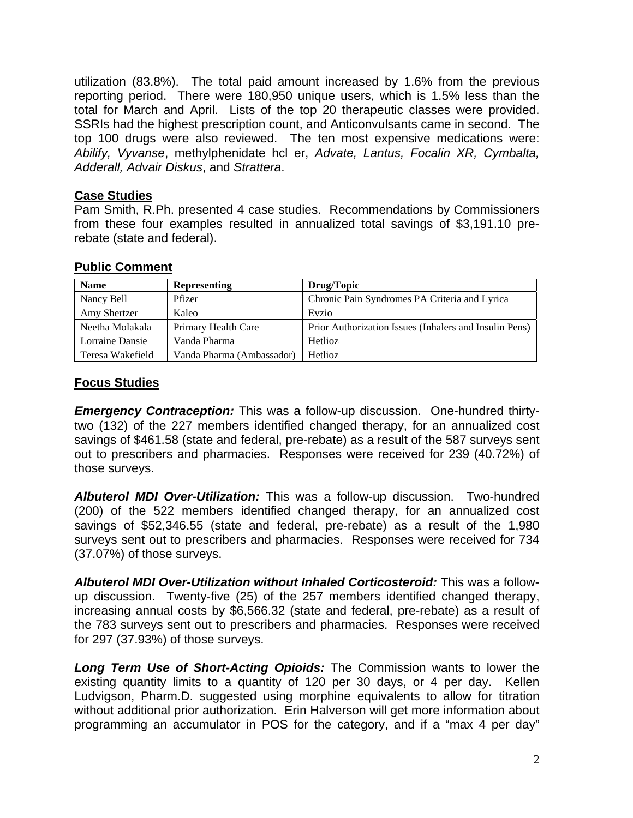utilization (83.8%). The total paid amount increased by 1.6% from the previous reporting period. There were 180,950 unique users, which is 1.5% less than the total for March and April. Lists of the top 20 therapeutic classes were provided. SSRIs had the highest prescription count, and Anticonvulsants came in second. The top 100 drugs were also reviewed. The ten most expensive medications were: *Abilify, Vyvanse*, methylphenidate hcl er, *Advate, Lantus, Focalin XR, Cymbalta, Adderall, Advair Diskus*, and *Strattera*.

## **Case Studies**

Pam Smith, R.Ph. presented 4 case studies. Recommendations by Commissioners from these four examples resulted in annualized total savings of \$3,191.10 prerebate (state and federal).

## **Public Comment**

| <b>Name</b>      | <b>Representing</b>       | Drug/Topic                                             |
|------------------|---------------------------|--------------------------------------------------------|
| Nancy Bell       | Pfizer                    | Chronic Pain Syndromes PA Criteria and Lyrica          |
| Amy Shertzer     | Kaleo                     | Evzio                                                  |
| Neetha Molakala  | Primary Health Care       | Prior Authorization Issues (Inhalers and Insulin Pens) |
| Lorraine Dansie  | Vanda Pharma              | <b>Hetlioz</b>                                         |
| Teresa Wakefield | Vanda Pharma (Ambassador) | Hetlioz                                                |

# **Focus Studies**

*Emergency Contraception:* This was a follow-up discussion. One-hundred thirtytwo (132) of the 227 members identified changed therapy, for an annualized cost savings of \$461.58 (state and federal, pre-rebate) as a result of the 587 surveys sent out to prescribers and pharmacies. Responses were received for 239 (40.72%) of those surveys.

*Albuterol MDI Over-Utilization:* This was a follow-up discussion. Two-hundred (200) of the 522 members identified changed therapy, for an annualized cost savings of \$52,346.55 (state and federal, pre-rebate) as a result of the 1,980 surveys sent out to prescribers and pharmacies. Responses were received for 734 (37.07%) of those surveys.

*Albuterol MDI Over-Utilization without Inhaled Corticosteroid:* This was a followup discussion. Twenty-five (25) of the 257 members identified changed therapy, increasing annual costs by \$6,566.32 (state and federal, pre-rebate) as a result of the 783 surveys sent out to prescribers and pharmacies. Responses were received for 297 (37.93%) of those surveys.

*Long Term Use of Short-Acting Opioids:* The Commission wants to lower the existing quantity limits to a quantity of 120 per 30 days, or 4 per day. Kellen Ludvigson, Pharm.D. suggested using morphine equivalents to allow for titration without additional prior authorization. Erin Halverson will get more information about programming an accumulator in POS for the category, and if a "max 4 per day"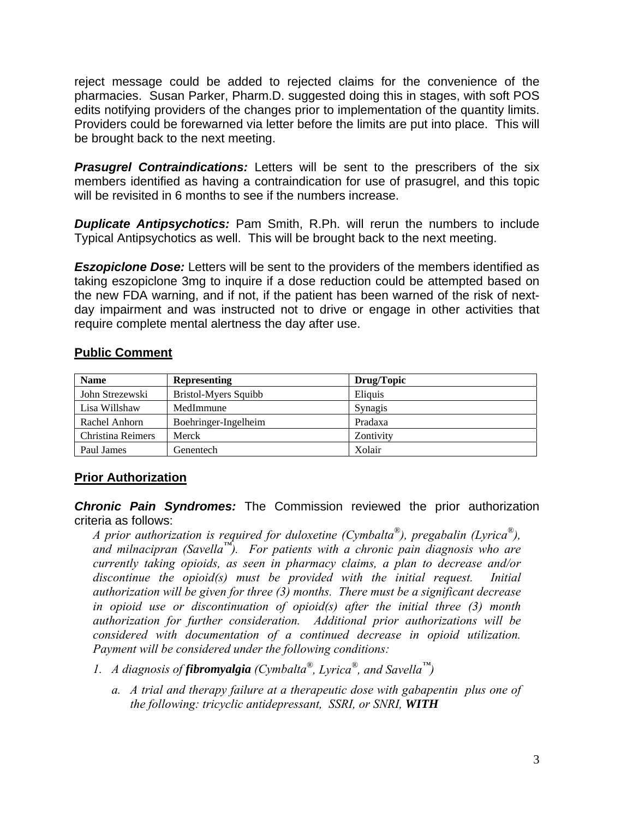reject message could be added to rejected claims for the convenience of the pharmacies. Susan Parker, Pharm.D. suggested doing this in stages, with soft POS edits notifying providers of the changes prior to implementation of the quantity limits. Providers could be forewarned via letter before the limits are put into place. This will be brought back to the next meeting.

**Prasugrel Contraindications:** Letters will be sent to the prescribers of the six members identified as having a contraindication for use of prasugrel, and this topic will be revisited in 6 months to see if the numbers increase.

*Duplicate Antipsychotics:* Pam Smith, R.Ph. will rerun the numbers to include Typical Antipsychotics as well. This will be brought back to the next meeting.

**Eszopiclone Dose:** Letters will be sent to the providers of the members identified as taking eszopiclone 3mg to inquire if a dose reduction could be attempted based on the new FDA warning, and if not, if the patient has been warned of the risk of nextday impairment and was instructed not to drive or engage in other activities that require complete mental alertness the day after use.

## **Public Comment**

| <b>Name</b>       | <b>Representing</b>  | Drug/Topic |
|-------------------|----------------------|------------|
| John Strezewski   | Bristol-Myers Squibb | Eliquis    |
| Lisa Willshaw     | MedImmune            | Synagis    |
| Rachel Anhorn     | Boehringer-Ingelheim | Pradaxa    |
| Christina Reimers | Merck                | Zontivity  |
| Paul James        | Genentech            | Xolair     |

## **Prior Authorization**

*Chronic Pain Syndromes:* The Commission reviewed the prior authorization criteria as follows:

*A prior authorization is required for duloxetine (Cymbalta®), pregabalin (Lyrica®), and milnacipran (Savella™). For patients with a chronic pain diagnosis who are currently taking opioids, as seen in pharmacy claims, a plan to decrease and/or discontinue the opioid(s) must be provided with the initial request. Initial authorization will be given for three (3) months. There must be a significant decrease in opioid use or discontinuation of opioid(s) after the initial three (3) month authorization for further consideration. Additional prior authorizations will be considered with documentation of a continued decrease in opioid utilization. Payment will be considered under the following conditions:* 

- *1. A diagnosis of fibromyalgia (Cymbalta®, Lyrica®, and Savella™)* 
	- *a. A trial and therapy failure at a therapeutic dose with gabapentin plus one of the following: tricyclic antidepressant, SSRI, or SNRI, WITH*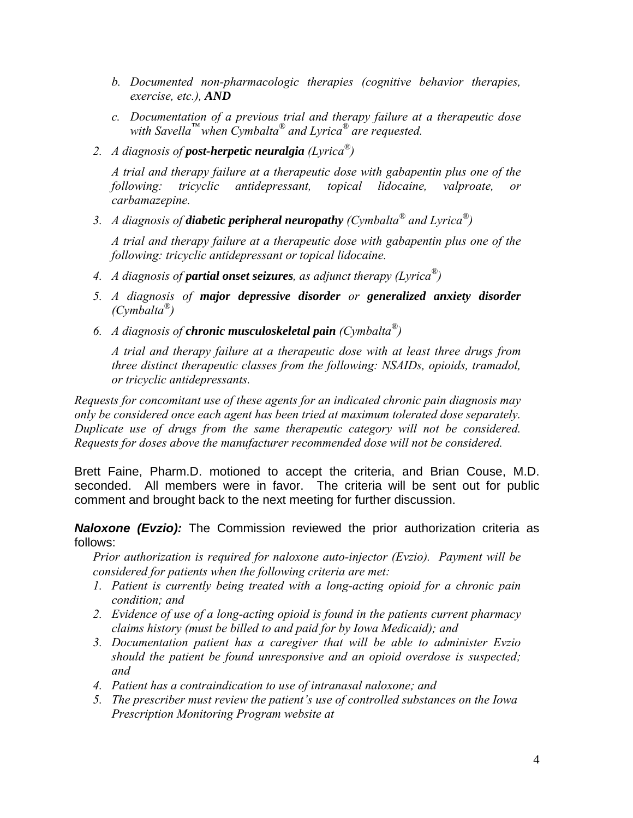- *b. Documented non-pharmacologic therapies (cognitive behavior therapies, exercise, etc.), AND*
- *c. Documentation of a previous trial and therapy failure at a therapeutic dose with Savella™ when Cymbalta® and Lyrica® are requested.*
- *2. A diagnosis of post-herpetic neuralgia (Lyrica®)*

*A trial and therapy failure at a therapeutic dose with gabapentin plus one of the following: tricyclic antidepressant, topical lidocaine, valproate, or carbamazepine.* 

*3. A diagnosis of diabetic peripheral neuropathy (Cymbalta® and Lyrica®)* 

*A trial and therapy failure at a therapeutic dose with gabapentin plus one of the following: tricyclic antidepressant or topical lidocaine.* 

- *4. A diagnosis of partial onset seizures, as adjunct therapy (Lyrica®)*
- *5. A diagnosis of major depressive disorder or generalized anxiety disorder (Cymbalta®)*
- *6. A diagnosis of chronic musculoskeletal pain (Cymbalta®)*

*A trial and therapy failure at a therapeutic dose with at least three drugs from three distinct therapeutic classes from the following: NSAIDs, opioids, tramadol, or tricyclic antidepressants.* 

*Requests for concomitant use of these agents for an indicated chronic pain diagnosis may only be considered once each agent has been tried at maximum tolerated dose separately. Duplicate use of drugs from the same therapeutic category will not be considered. Requests for doses above the manufacturer recommended dose will not be considered.* 

Brett Faine, Pharm.D. motioned to accept the criteria, and Brian Couse, M.D. seconded. All members were in favor. The criteria will be sent out for public comment and brought back to the next meeting for further discussion.

*Naloxone (Evzio):* The Commission reviewed the prior authorization criteria as follows:

*Prior authorization is required for naloxone auto-injector (Evzio). Payment will be considered for patients when the following criteria are met:* 

- *1. Patient is currently being treated with a long-acting opioid for a chronic pain condition; and*
- *2. Evidence of use of a long-acting opioid is found in the patients current pharmacy claims history (must be billed to and paid for by Iowa Medicaid); and*
- *3. Documentation patient has a caregiver that will be able to administer Evzio should the patient be found unresponsive and an opioid overdose is suspected; and*
- *4. Patient has a contraindication to use of intranasal naloxone; and*
- *5. The prescriber must review the patient's use of controlled substances on the Iowa Prescription Monitoring Program website at*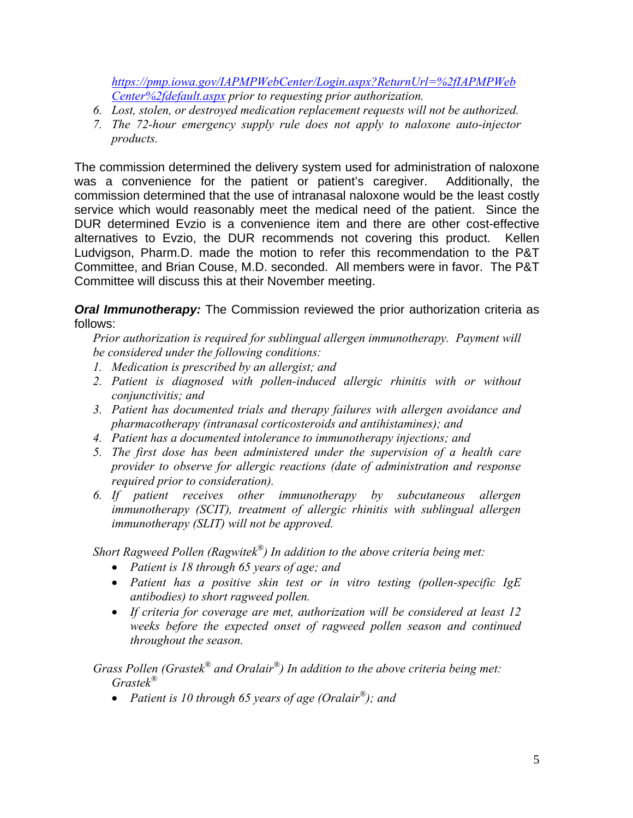*https://pmp.iowa.gov/IAPMPWebCenter/Login.aspx?ReturnUrl=%2fIAPMPWeb Center%2fdefault.aspx prior to requesting prior authorization.* 

- *6. Lost, stolen, or destroyed medication replacement requests will not be authorized.*
- *7. The 72-hour emergency supply rule does not apply to naloxone auto-injector products.*

The commission determined the delivery system used for administration of naloxone was a convenience for the patient or patient's caregiver. Additionally, the commission determined that the use of intranasal naloxone would be the least costly service which would reasonably meet the medical need of the patient. Since the DUR determined Evzio is a convenience item and there are other cost-effective alternatives to Evzio, the DUR recommends not covering this product. Kellen Ludvigson, Pharm.D. made the motion to refer this recommendation to the P&T Committee, and Brian Couse, M.D. seconded. All members were in favor. The P&T Committee will discuss this at their November meeting.

*Oral Immunotherapy:* The Commission reviewed the prior authorization criteria as follows:

*Prior authorization is required for sublingual allergen immunotherapy. Payment will be considered under the following conditions:* 

- *1. Medication is prescribed by an allergist; and*
- 2. Patient is diagnosed with pollen-induced allergic rhinitis with or without *conjunctivitis; and*
- *3. Patient has documented trials and therapy failures with allergen avoidance and pharmacotherapy (intranasal corticosteroids and antihistamines); and*
- *4. Patient has a documented intolerance to immunotherapy injections; and*
- *5. The first dose has been administered under the supervision of a health care provider to observe for allergic reactions (date of administration and response required prior to consideration).*
- *6. If patient receives other immunotherapy by subcutaneous allergen immunotherapy (SCIT), treatment of allergic rhinitis with sublingual allergen immunotherapy (SLIT) will not be approved.*

*Short Ragweed Pollen (Ragwitek®) In addition to the above criteria being met:* 

- *Patient is 18 through 65 years of age; and*
- *Patient has a positive skin test or in vitro testing (pollen-specific IgE antibodies) to short ragweed pollen.*
- *If criteria for coverage are met, authorization will be considered at least 12 weeks before the expected onset of ragweed pollen season and continued throughout the season.*

*Grass Pollen (Grastek® and Oralair®) In addition to the above criteria being met: Grastek®*

*Patient is 10 through 65 years of age (Oralair®); and*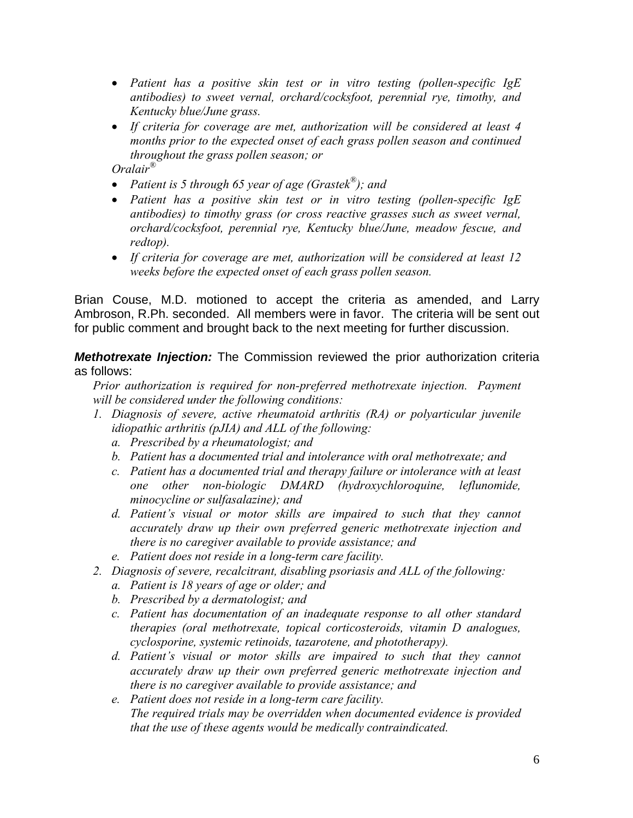- *Patient has a positive skin test or in vitro testing (pollen-specific IgE antibodies) to sweet vernal, orchard/cocksfoot, perennial rye, timothy, and Kentucky blue/June grass.*
- *If criteria for coverage are met, authorization will be considered at least 4 months prior to the expected onset of each grass pollen season and continued throughout the grass pollen season; or*

*Oralair®* 

- *Patient is 5 through 65 year of age (Grastek®); and*
- *Patient has a positive skin test or in vitro testing (pollen-specific IgE antibodies) to timothy grass (or cross reactive grasses such as sweet vernal, orchard/cocksfoot, perennial rye, Kentucky blue/June, meadow fescue, and redtop).*
- *If criteria for coverage are met, authorization will be considered at least 12 weeks before the expected onset of each grass pollen season.*

Brian Couse, M.D. motioned to accept the criteria as amended, and Larry Ambroson, R.Ph. seconded. All members were in favor. The criteria will be sent out for public comment and brought back to the next meeting for further discussion.

*Methotrexate Injection:* The Commission reviewed the prior authorization criteria as follows:

*Prior authorization is required for non-preferred methotrexate injection. Payment will be considered under the following conditions:* 

- *1. Diagnosis of severe, active rheumatoid arthritis (RA) or polyarticular juvenile idiopathic arthritis (pJIA) and ALL of the following:* 
	- *a. Prescribed by a rheumatologist; and*
	- *b. Patient has a documented trial and intolerance with oral methotrexate; and*
	- *c. Patient has a documented trial and therapy failure or intolerance with at least one other non-biologic DMARD (hydroxychloroquine, leflunomide, minocycline or sulfasalazine); and*
	- *d. Patient's visual or motor skills are impaired to such that they cannot accurately draw up their own preferred generic methotrexate injection and there is no caregiver available to provide assistance; and*
	- *e. Patient does not reside in a long-term care facility.*
- *2. Diagnosis of severe, recalcitrant, disabling psoriasis and ALL of the following:* 
	- *a. Patient is 18 years of age or older; and*
	- *b. Prescribed by a dermatologist; and*
	- *c. Patient has documentation of an inadequate response to all other standard therapies (oral methotrexate, topical corticosteroids, vitamin D analogues, cyclosporine, systemic retinoids, tazarotene, and phototherapy).*
	- *d. Patient's visual or motor skills are impaired to such that they cannot accurately draw up their own preferred generic methotrexate injection and there is no caregiver available to provide assistance; and*
	- *e. Patient does not reside in a long-term care facility. The required trials may be overridden when documented evidence is provided that the use of these agents would be medically contraindicated.*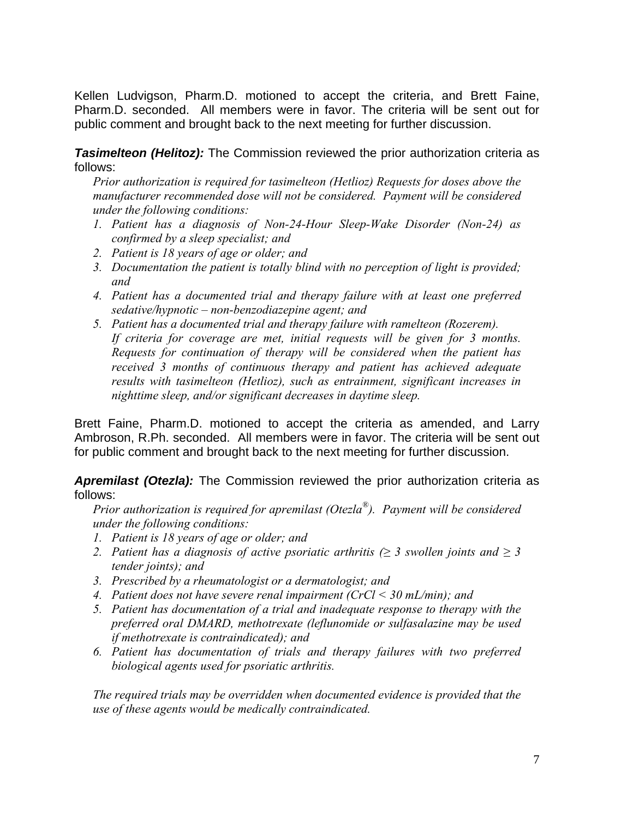Kellen Ludvigson, Pharm.D. motioned to accept the criteria, and Brett Faine, Pharm.D. seconded. All members were in favor. The criteria will be sent out for public comment and brought back to the next meeting for further discussion.

**Tasimelteon (Helitoz):** The Commission reviewed the prior authorization criteria as follows:

*Prior authorization is required for tasimelteon (Hetlioz) Requests for doses above the manufacturer recommended dose will not be considered. Payment will be considered under the following conditions:* 

- *1. Patient has a diagnosis of Non-24-Hour Sleep-Wake Disorder (Non-24) as confirmed by a sleep specialist; and*
- *2. Patient is 18 years of age or older; and*
- *3. Documentation the patient is totally blind with no perception of light is provided; and*
- *4. Patient has a documented trial and therapy failure with at least one preferred sedative/hypnotic – non-benzodiazepine agent; and*
- *5. Patient has a documented trial and therapy failure with ramelteon (Rozerem). If criteria for coverage are met, initial requests will be given for 3 months. Requests for continuation of therapy will be considered when the patient has received 3 months of continuous therapy and patient has achieved adequate results with tasimelteon (Hetlioz), such as entrainment, significant increases in nighttime sleep, and/or significant decreases in daytime sleep.*

Brett Faine, Pharm.D. motioned to accept the criteria as amended, and Larry Ambroson, R.Ph. seconded. All members were in favor. The criteria will be sent out for public comment and brought back to the next meeting for further discussion.

*Apremilast (Otezla):* The Commission reviewed the prior authorization criteria as follows:

*Prior authorization is required for apremilast (Otezla®). Payment will be considered under the following conditions:* 

- *1. Patient is 18 years of age or older; and*
- *2. Patient has a diagnosis of active psoriatic arthritis (≥ 3 swollen joints and ≥ 3 tender joints); and*
- *3. Prescribed by a rheumatologist or a dermatologist; and*
- *4. Patient does not have severe renal impairment (CrCl < 30 mL/min); and*
- *5. Patient has documentation of a trial and inadequate response to therapy with the preferred oral DMARD, methotrexate (leflunomide or sulfasalazine may be used if methotrexate is contraindicated); and*
- *6. Patient has documentation of trials and therapy failures with two preferred biological agents used for psoriatic arthritis.*

*The required trials may be overridden when documented evidence is provided that the use of these agents would be medically contraindicated.*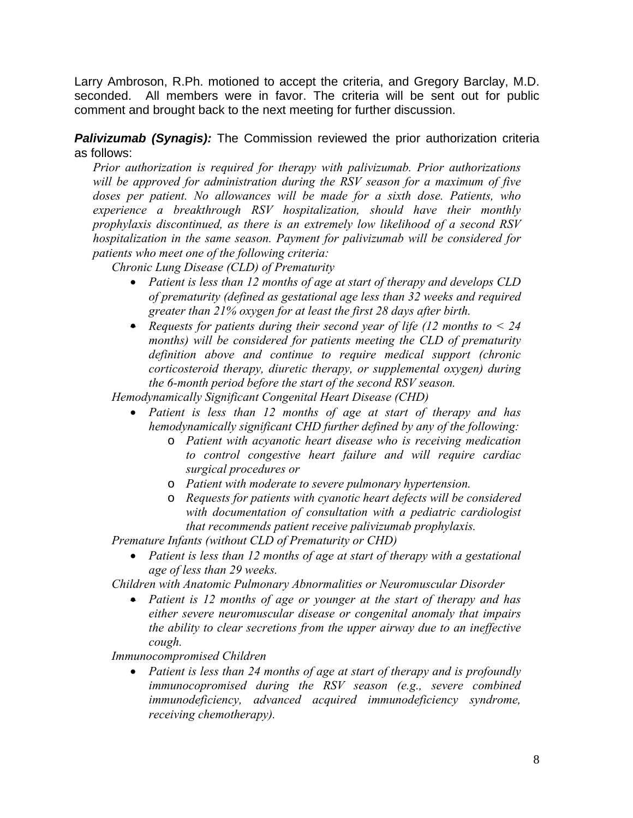Larry Ambroson, R.Ph. motioned to accept the criteria, and Gregory Barclay, M.D. seconded. All members were in favor. The criteria will be sent out for public comment and brought back to the next meeting for further discussion.

# *Palivizumab (Synagis):* The Commission reviewed the prior authorization criteria as follows:

*Prior authorization is required for therapy with palivizumab. Prior authorizations will be approved for administration during the RSV season for a maximum of five*  doses per patient. No allowances will be made for a sixth dose. Patients, who *experience a breakthrough RSV hospitalization, should have their monthly prophylaxis discontinued, as there is an extremely low likelihood of a second RSV hospitalization in the same season. Payment for palivizumab will be considered for patients who meet one of the following criteria:* 

*Chronic Lung Disease (CLD) of Prematurity* 

- *Patient is less than 12 months of age at start of therapy and develops CLD of prematurity (defined as gestational age less than 32 weeks and required greater than 21% oxygen for at least the first 28 days after birth.*
- *Requests for patients during their second year of life (12 months to < 24 months) will be considered for patients meeting the CLD of prematurity definition above and continue to require medical support (chronic corticosteroid therapy, diuretic therapy, or supplemental oxygen) during the 6-month period before the start of the second RSV season.*

*Hemodynamically Significant Congenital Heart Disease (CHD)* 

- *Patient is less than 12 months of age at start of therapy and has hemodynamically significant CHD further defined by any of the following:* 
	- o *Patient with acyanotic heart disease who is receiving medication to control congestive heart failure and will require cardiac surgical procedures or*
	- o *Patient with moderate to severe pulmonary hypertension.*
	- o *Requests for patients with cyanotic heart defects will be considered with documentation of consultation with a pediatric cardiologist that recommends patient receive palivizumab prophylaxis.*

*Premature Infants (without CLD of Prematurity or CHD)* 

 *Patient is less than 12 months of age at start of therapy with a gestational age of less than 29 weeks.* 

*Children with Anatomic Pulmonary Abnormalities or Neuromuscular Disorder* 

 *Patient is 12 months of age or younger at the start of therapy and has either severe neuromuscular disease or congenital anomaly that impairs the ability to clear secretions from the upper airway due to an ineffective cough.* 

*Immunocompromised Children* 

 *Patient is less than 24 months of age at start of therapy and is profoundly immunocopromised during the RSV season (e.g., severe combined immunodeficiency, advanced acquired immunodeficiency syndrome, receiving chemotherapy).*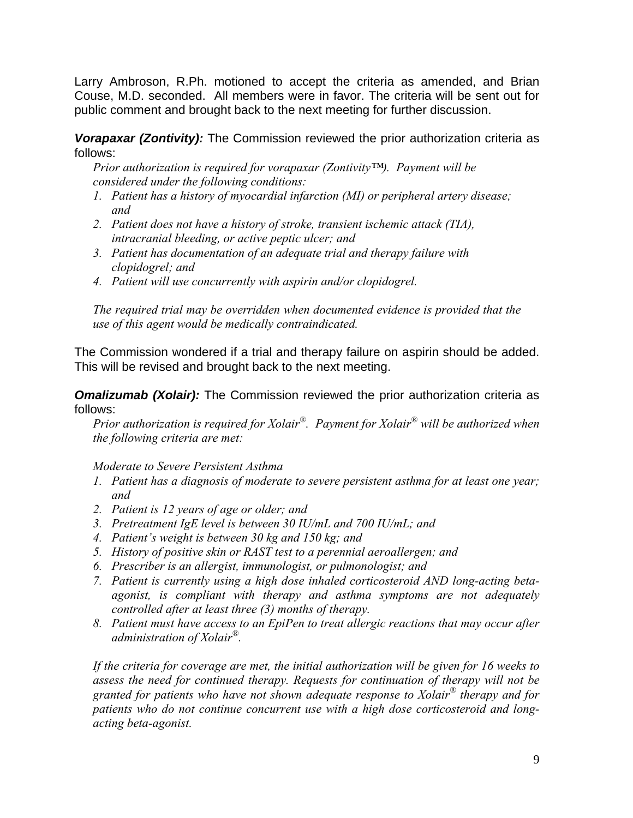Larry Ambroson, R.Ph. motioned to accept the criteria as amended, and Brian Couse, M.D. seconded. All members were in favor. The criteria will be sent out for public comment and brought back to the next meeting for further discussion.

*Vorapaxar (Zontivity):* The Commission reviewed the prior authorization criteria as follows:

*Prior authorization is required for vorapaxar (Zontivity™). Payment will be considered under the following conditions:* 

- *1. Patient has a history of myocardial infarction (MI) or peripheral artery disease; and*
- *2. Patient does not have a history of stroke, transient ischemic attack (TIA), intracranial bleeding, or active peptic ulcer; and*
- *3. Patient has documentation of an adequate trial and therapy failure with clopidogrel; and*
- *4. Patient will use concurrently with aspirin and/or clopidogrel.*

*The required trial may be overridden when documented evidence is provided that the use of this agent would be medically contraindicated.* 

The Commission wondered if a trial and therapy failure on aspirin should be added. This will be revised and brought back to the next meeting.

**Omalizumab (Xolair):** The Commission reviewed the prior authorization criteria as follows:

*Prior authorization is required for Xolair®. Payment for Xolair® will be authorized when the following criteria are met:* 

## *Moderate to Severe Persistent Asthma*

- *1. Patient has a diagnosis of moderate to severe persistent asthma for at least one year; and*
- *2. Patient is 12 years of age or older; and*
- *3. Pretreatment IgE level is between 30 IU/mL and 700 IU/mL; and*
- *4. Patient's weight is between 30 kg and 150 kg; and*
- *5. History of positive skin or RAST test to a perennial aeroallergen; and*
- *6. Prescriber is an allergist, immunologist, or pulmonologist; and*
- *7. Patient is currently using a high dose inhaled corticosteroid AND long-acting betaagonist, is compliant with therapy and asthma symptoms are not adequately controlled after at least three (3) months of therapy.*
- *8. Patient must have access to an EpiPen to treat allergic reactions that may occur after administration of Xolair®.*

*If the criteria for coverage are met, the initial authorization will be given for 16 weeks to assess the need for continued therapy. Requests for continuation of therapy will not be granted for patients who have not shown adequate response to Xolair® therapy and for patients who do not continue concurrent use with a high dose corticosteroid and longacting beta-agonist.*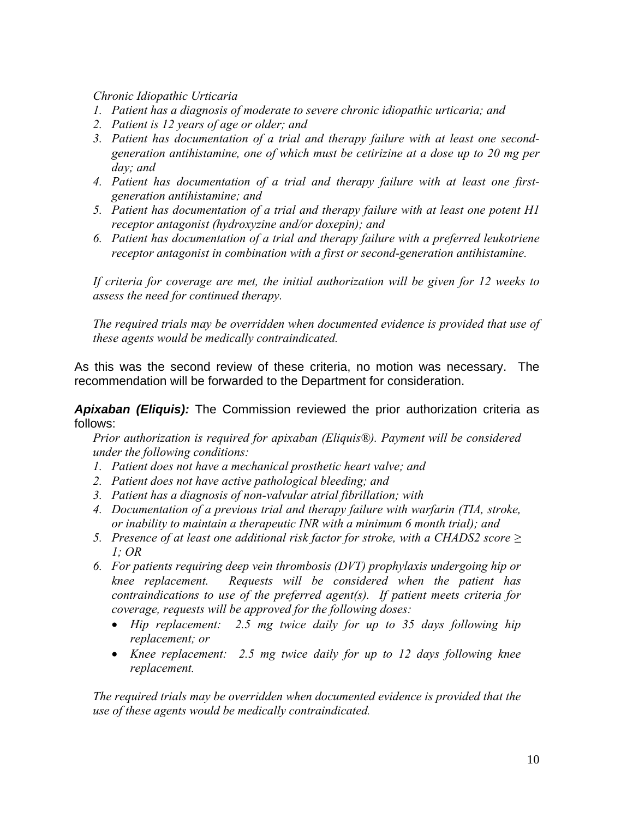## *Chronic Idiopathic Urticaria*

- *1. Patient has a diagnosis of moderate to severe chronic idiopathic urticaria; and*
- *2. Patient is 12 years of age or older; and*
- *3. Patient has documentation of a trial and therapy failure with at least one secondgeneration antihistamine, one of which must be cetirizine at a dose up to 20 mg per day; and*
- *4. Patient has documentation of a trial and therapy failure with at least one firstgeneration antihistamine; and*
- *5. Patient has documentation of a trial and therapy failure with at least one potent H1 receptor antagonist (hydroxyzine and/or doxepin); and*
- *6. Patient has documentation of a trial and therapy failure with a preferred leukotriene receptor antagonist in combination with a first or second-generation antihistamine.*

*If criteria for coverage are met, the initial authorization will be given for 12 weeks to assess the need for continued therapy.* 

*The required trials may be overridden when documented evidence is provided that use of these agents would be medically contraindicated.* 

As this was the second review of these criteria, no motion was necessary. The recommendation will be forwarded to the Department for consideration.

*Apixaban (Eliquis):* The Commission reviewed the prior authorization criteria as follows:

*Prior authorization is required for apixaban (Eliquis®). Payment will be considered under the following conditions:* 

- *1. Patient does not have a mechanical prosthetic heart valve; and*
- *2. Patient does not have active pathological bleeding; and*
- *3. Patient has a diagnosis of non-valvular atrial fibrillation; with*
- *4. Documentation of a previous trial and therapy failure with warfarin (TIA, stroke, or inability to maintain a therapeutic INR with a minimum 6 month trial); and*
- *5.* Presence of at least one additional risk factor for stroke, with a CHADS2 score  $\geq$ *1; OR*
- *6. For patients requiring deep vein thrombosis (DVT) prophylaxis undergoing hip or knee replacement. Requests will be considered when the patient has contraindications to use of the preferred agent(s). If patient meets criteria for coverage, requests will be approved for the following doses:* 
	- *Hip replacement: 2.5 mg twice daily for up to 35 days following hip replacement; or*
	- *Knee replacement: 2.5 mg twice daily for up to 12 days following knee replacement.*

*The required trials may be overridden when documented evidence is provided that the use of these agents would be medically contraindicated.*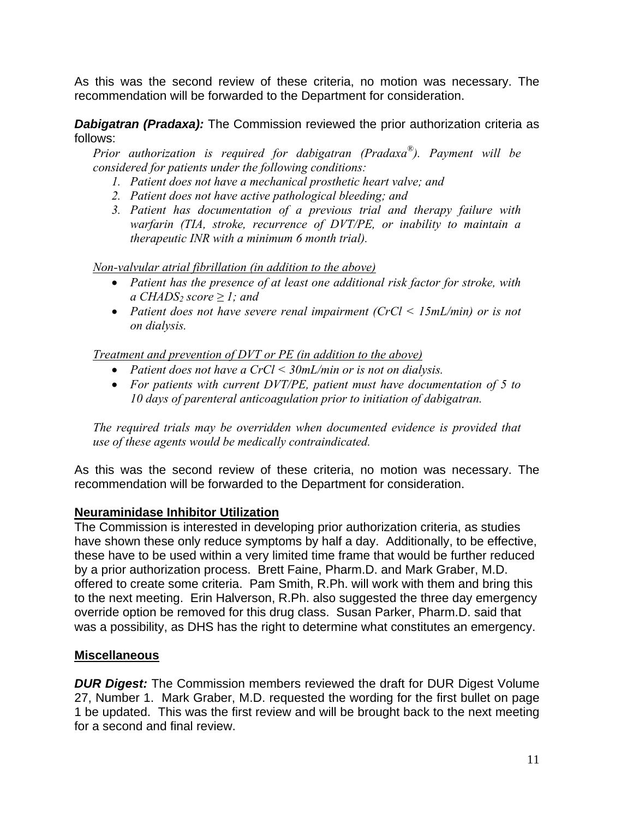As this was the second review of these criteria, no motion was necessary. The recommendation will be forwarded to the Department for consideration.

**Dabigatran (Pradaxa):** The Commission reviewed the prior authorization criteria as follows:

*Prior authorization is required for dabigatran (Pradaxa®). Payment will be considered for patients under the following conditions:* 

- *1. Patient does not have a mechanical prosthetic heart valve; and*
- *2. Patient does not have active pathological bleeding; and*
- *3. Patient has documentation of a previous trial and therapy failure with warfarin (TIA, stroke, recurrence of DVT/PE, or inability to maintain a therapeutic INR with a minimum 6 month trial).*

*Non-valvular atrial fibrillation (in addition to the above)*

- *Patient has the presence of at least one additional risk factor for stroke, with*   $a$  *CHADS<sub>2</sub> score*  $\geq$  *1; and*
- *Patient does not have severe renal impairment (CrCl < 15mL/min) or is not on dialysis.*

*Treatment and prevention of DVT or PE (in addition to the above)*

- *Patient does not have a CrCl < 30mL/min or is not on dialysis.*
- *For patients with current DVT/PE, patient must have documentation of 5 to 10 days of parenteral anticoagulation prior to initiation of dabigatran.*

*The required trials may be overridden when documented evidence is provided that use of these agents would be medically contraindicated.* 

As this was the second review of these criteria, no motion was necessary. The recommendation will be forwarded to the Department for consideration.

# **Neuraminidase Inhibitor Utilization**

The Commission is interested in developing prior authorization criteria, as studies have shown these only reduce symptoms by half a day. Additionally, to be effective, these have to be used within a very limited time frame that would be further reduced by a prior authorization process. Brett Faine, Pharm.D. and Mark Graber, M.D. offered to create some criteria. Pam Smith, R.Ph. will work with them and bring this to the next meeting. Erin Halverson, R.Ph. also suggested the three day emergency override option be removed for this drug class. Susan Parker, Pharm.D. said that was a possibility, as DHS has the right to determine what constitutes an emergency.

## **Miscellaneous**

*DUR Digest:* The Commission members reviewed the draft for DUR Digest Volume 27, Number 1. Mark Graber, M.D. requested the wording for the first bullet on page 1 be updated. This was the first review and will be brought back to the next meeting for a second and final review.